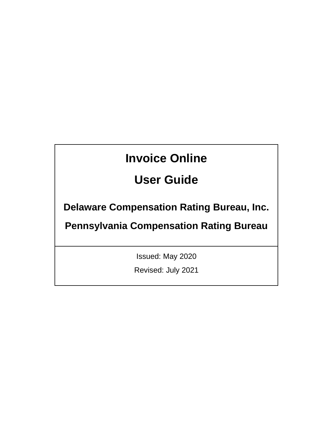# **Invoice Online**

# **User Guide**

**Delaware Compensation Rating Bureau, Inc.** 

**Pennsylvania Compensation Rating Bureau**

Issued: May 2020

Revised: July 2021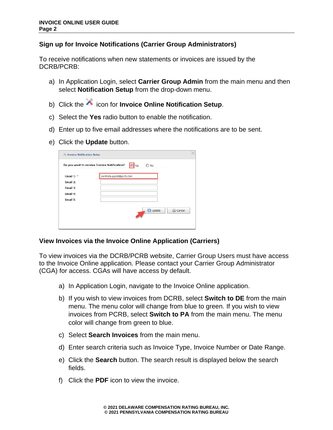# **Sign up for Invoice Notifications (Carrier Group Administrators)**

To receive notifications when new statements or invoices are issued by the DCRB/PCRB:

- a) In Application Login, select **Carrier Group Admin** from the main menu and then select **Notification Setup** from the drop-down menu.
- b) Click the **i**con for **Invoice Online Notification Setup**.
- c) Select the **Yes** radio button to enable the notification.
- d) Enter up to five email addresses where the notifications are to be sent.
- e) Click the **Update** button.

|              | Do you want to receive Invoice Notification?<br>$\odot$<br>Yes<br>No<br>∩ |
|--------------|---------------------------------------------------------------------------|
| Email $1:$ * | centralsupport@pcrb.com                                                   |
| Email 2:     |                                                                           |
| Email 3:     |                                                                           |
| Email 4:     |                                                                           |
| Email 5:     |                                                                           |
|              | Update<br>Cancel                                                          |

#### **View Invoices via the Invoice Online Application (Carriers)**

To view invoices via the DCRB/PCRB website, Carrier Group Users must have access to the Invoice Online application. Please contact your Carrier Group Administrator (CGA) for access. CGAs will have access by default.

- a) In Application Login, navigate to the Invoice Online application.
- b) If you wish to view invoices from DCRB, select **Switch to DE** from the main menu. The menu color will change from blue to green. If you wish to view invoices from PCRB, select **Switch to PA** from the main menu. The menu color will change from green to blue.
- c) Select **Search Invoices** from the main menu.
- d) Enter search criteria such as Invoice Type, Invoice Number or Date Range.
- e) Click the **Search** button. The search result is displayed below the search fields.
- f) Click the **PDF** icon to view the invoice.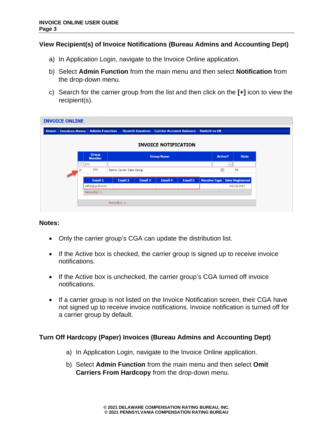### **View Recipient(s) of Invoice Notifications (Bureau Admins and Accounting Dept)**

- a) In Application Login, navigate to the Invoice Online application.
- b) Select **Admin Function** from the main menu and then select **Notification** from the drop-down menu.
- c) Search for the carrier group from the list and then click on the **[+]** icon to view the recipient(s).

| <b>INVOICE ONLINE</b> |                      |                      |                               |                                                                     |                |                |                   |                             |                     |        |                        |  |
|-----------------------|----------------------|----------------------|-------------------------------|---------------------------------------------------------------------|----------------|----------------|-------------------|-----------------------------|---------------------|--------|------------------------|--|
| <b>Home</b>           | <b>Invoices Home</b> |                      |                               | Admin Function Search Invoices Carrier Account Balance Switch to DE |                |                |                   |                             |                     |        |                        |  |
|                       |                      |                      |                               |                                                                     |                |                |                   | <b>INVOICE NOTIFICATION</b> |                     |        |                        |  |
|                       |                      |                      | <b>Group</b><br><b>Number</b> |                                                                     |                |                | <b>Group Name</b> |                             | <b>Active?</b>      |        | <b>State</b>           |  |
|                       |                      |                      | 777                           |                                                                     |                |                |                   |                             |                     | $\vee$ |                        |  |
|                       |                      | $\qquad \qquad \Box$ | 777                           | Demo Carrier Data Group                                             |                |                |                   | $\checkmark$                |                     | PA     |                        |  |
|                       |                      |                      |                               |                                                                     |                |                |                   |                             |                     |        |                        |  |
|                       |                      |                      | Email 1                       |                                                                     | <b>Email 2</b> | <b>Email 3</b> | <b>Email 4</b>    | <b>Email 5</b>              | <b>Receive Type</b> |        | <b>Date Registered</b> |  |
|                       |                      |                      | ethai@pcrb.com                |                                                                     |                |                |                   |                             |                     |        | 03/23/2017             |  |
|                       |                      |                      | Record(s): 1                  |                                                                     |                |                |                   |                             |                     |        |                        |  |
|                       |                      |                      |                               |                                                                     |                |                |                   |                             |                     |        |                        |  |
|                       |                      |                      |                               | Record $(s)$ : 1                                                    |                |                |                   |                             |                     |        |                        |  |
|                       |                      |                      |                               |                                                                     |                |                |                   |                             |                     |        |                        |  |

#### **Notes:**

- Only the carrier group's CGA can update the distribution list.
- If the Active box is checked, the carrier group is signed up to receive invoice notifications.
- If the Active box is unchecked, the carrier group's CGA turned off invoice notifications.
- If a carrier group is not listed on the Invoice Notification screen, their CGA have not signed up to receive invoice notifications. Invoice notification is turned off for a carrier group by default.

# **Turn Off Hardcopy (Paper) Invoices (Bureau Admins and Accounting Dept)**

- a) In Application Login, navigate to the Invoice Online application.
- b) Select **Admin Function** from the main menu and then select **Omit Carriers From Hardcopy** from the drop-down menu.